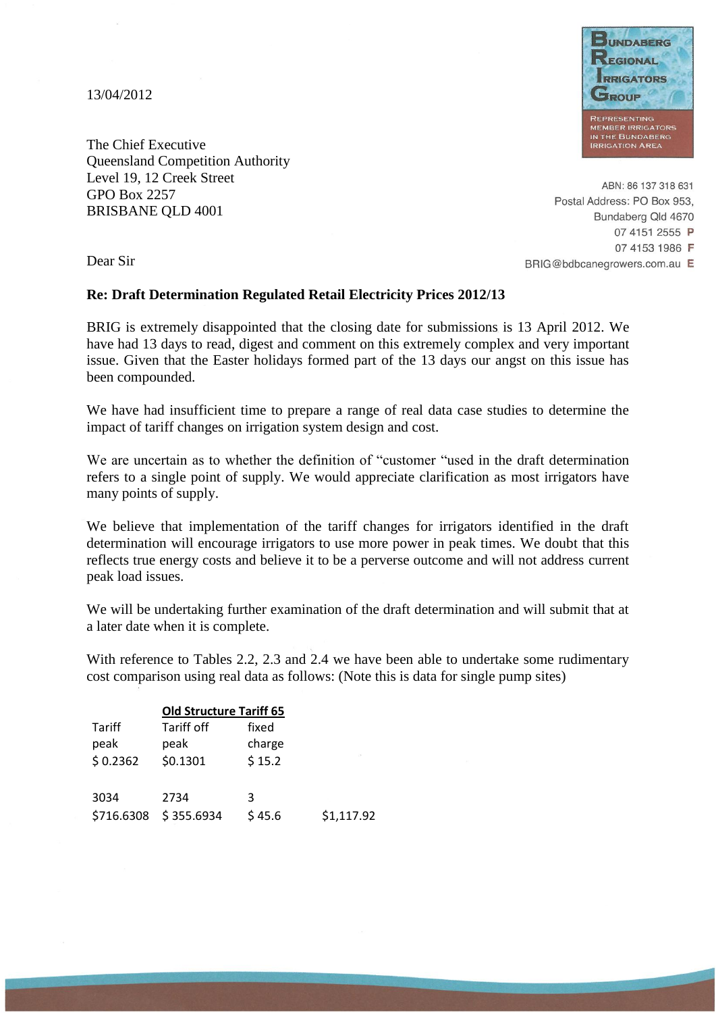13/04/2012



The Chief Executive Queensland Competition Authority Level 19, 12 Creek Street GPO Box 2257 BRISBANE QLD 4001

ABN: 86 137 318 631 Postal Address: PO Box 953, Bundaberg Qld 4670 07 4151 2555 P 07 4153 1986 F BRIG@bdbcanegrowers.com.au E

Dear Sir

## **Re: Draft Determination Regulated Retail Electricity Prices 2012/13**

BRIG is extremely disappointed that the closing date for submissions is 13 April 2012. We have had 13 days to read, digest and comment on this extremely complex and very important issue. Given that the Easter holidays formed part of the 13 days our angst on this issue has been compounded.

We have had insufficient time to prepare a range of real data case studies to determine the impact of tariff changes on irrigation system design and cost.

We are uncertain as to whether the definition of "customer "used in the draft determination" refers to a single point of supply. We would appreciate clarification as most irrigators have many points of supply.

We believe that implementation of the tariff changes for irrigators identified in the draft determination will encourage irrigators to use more power in peak times. We doubt that this reflects true energy costs and believe it to be a perverse outcome and will not address current peak load issues.

We will be undertaking further examination of the draft determination and will submit that at a later date when it is complete.

With reference to Tables 2.2, 2.3 and 2.4 we have been able to undertake some rudimentary cost comparison using real data as follows: (Note this is data for single pump sites)

| <b>Old Structure Tariff 65</b> |            |        |            |  |  |
|--------------------------------|------------|--------|------------|--|--|
| Tariff                         | Tariff off | fixed  |            |  |  |
| peak                           | peak       | charge |            |  |  |
| \$0.2362                       | \$0.1301   | \$15.2 |            |  |  |
| 3034                           | 2734       | 3      | \$1,117.92 |  |  |
| \$716.6308                     | \$355.6934 | \$45.6 |            |  |  |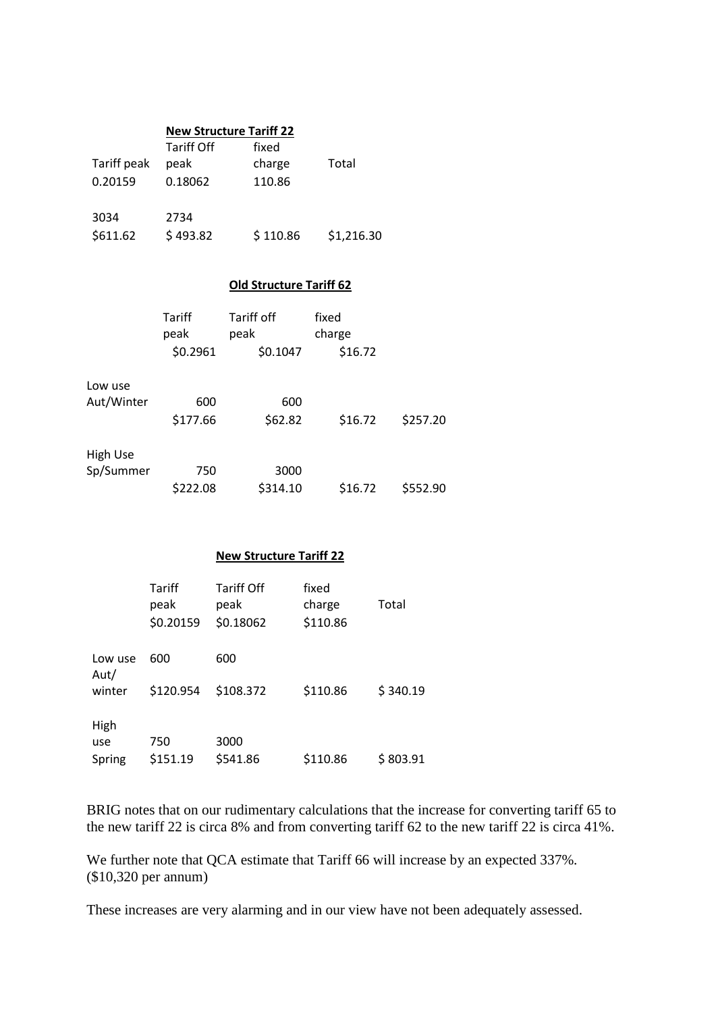|             | <b>New Structure Tariff 22</b> |          |            |  |
|-------------|--------------------------------|----------|------------|--|
|             | <b>Tariff Off</b>              | fixed    |            |  |
| Tariff peak | peak                           | charge   | Total      |  |
| 0.20159     | 0.18062                        | 110.86   |            |  |
| 3034        | 2734                           |          |            |  |
| \$611.62    | \$493.82                       | \$110.86 | \$1,216.30 |  |

## **Old Structure Tariff 62**

|            | Tariff<br>peak | Tariff off<br>peak | fixed<br>charge |          |
|------------|----------------|--------------------|-----------------|----------|
|            | \$0.2961       | \$0.1047           | \$16.72         |          |
| Low use    |                |                    |                 |          |
| Aut/Winter | 600            | 600                |                 |          |
|            | \$177.66       | \$62.82            | \$16.72         | \$257.20 |
| High Use   |                |                    |                 |          |
| Sp/Summer  | 750            | 3000               |                 |          |
|            | \$222.08       | \$314.10           | \$16.72         | \$552.90 |

## **New Structure Tariff 22**

|                | Tariff<br>peak<br>\$0.20159 | <b>Tariff Off</b><br>peak<br>\$0.18062 | fixed<br>charge<br>\$110.86 | Total    |
|----------------|-----------------------------|----------------------------------------|-----------------------------|----------|
| Low use        | 600                         | 600                                    |                             |          |
| Aut/<br>winter | \$120.954                   | \$108.372                              | \$110.86                    | \$340.19 |
| High           |                             |                                        |                             |          |
| use            | 750                         | 3000                                   |                             |          |
| Spring         | \$151.19                    | \$541.86                               | \$110.86                    | \$803.91 |

BRIG notes that on our rudimentary calculations that the increase for converting tariff 65 to the new tariff 22 is circa 8% and from converting tariff 62 to the new tariff 22 is circa 41%.

We further note that QCA estimate that Tariff 66 will increase by an expected 337%. (\$10,320 per annum)

These increases are very alarming and in our view have not been adequately assessed.